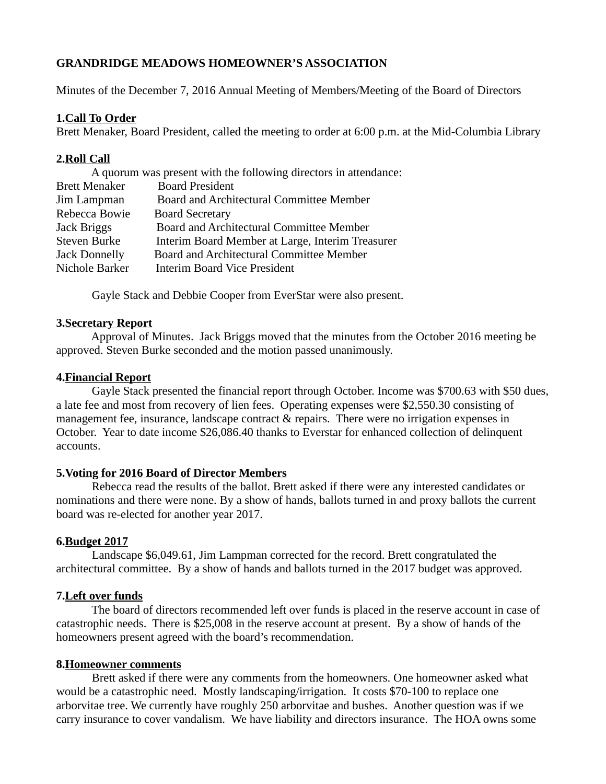# **GRANDRIDGE MEADOWS HOMEOWNER'S ASSOCIATION**

Minutes of the December 7, 2016 Annual Meeting of Members/Meeting of the Board of Directors

#### **1.Call To Order**

Brett Menaker, Board President, called the meeting to order at 6:00 p.m. at the Mid-Columbia Library

## **2.Roll Call**

| A quorum was present with the following directors in attendance: |                                                  |
|------------------------------------------------------------------|--------------------------------------------------|
| <b>Brett Menaker</b>                                             | <b>Board President</b>                           |
| Jim Lampman                                                      | Board and Architectural Committee Member         |
| Rebecca Bowie                                                    | <b>Board Secretary</b>                           |
| Jack Briggs                                                      | Board and Architectural Committee Member         |
| <b>Steven Burke</b>                                              | Interim Board Member at Large, Interim Treasurer |
| Jack Donnelly                                                    | Board and Architectural Committee Member         |
| Nichole Barker                                                   | <b>Interim Board Vice President</b>              |

Gayle Stack and Debbie Cooper from EverStar were also present.

#### **3.Secretary Report**

 Approval of Minutes. Jack Briggs moved that the minutes from the October 2016 meeting be approved. Steven Burke seconded and the motion passed unanimously.

#### **4.Financial Report**

 Gayle Stack presented the financial report through October. Income was \$700.63 with \$50 dues, a late fee and most from recovery of lien fees. Operating expenses were \$2,550.30 consisting of management fee, insurance, landscape contract & repairs. There were no irrigation expenses in October. Year to date income \$26,086.40 thanks to Everstar for enhanced collection of delinquent accounts.

### **5.Voting for 2016 Board of Director Members**

 Rebecca read the results of the ballot. Brett asked if there were any interested candidates or nominations and there were none. By a show of hands, ballots turned in and proxy ballots the current board was re-elected for another year 2017.

### **6.Budget 2017**

 Landscape \$6,049.61, Jim Lampman corrected for the record. Brett congratulated the architectural committee. By a show of hands and ballots turned in the 2017 budget was approved.

### **7.Left over funds**

 The board of directors recommended left over funds is placed in the reserve account in case of catastrophic needs. There is \$25,008 in the reserve account at present. By a show of hands of the homeowners present agreed with the board's recommendation.

### **8.Homeowner comments**

 Brett asked if there were any comments from the homeowners. One homeowner asked what would be a catastrophic need. Mostly landscaping/irrigation. It costs \$70-100 to replace one arborvitae tree. We currently have roughly 250 arborvitae and bushes. Another question was if we carry insurance to cover vandalism. We have liability and directors insurance. The HOA owns some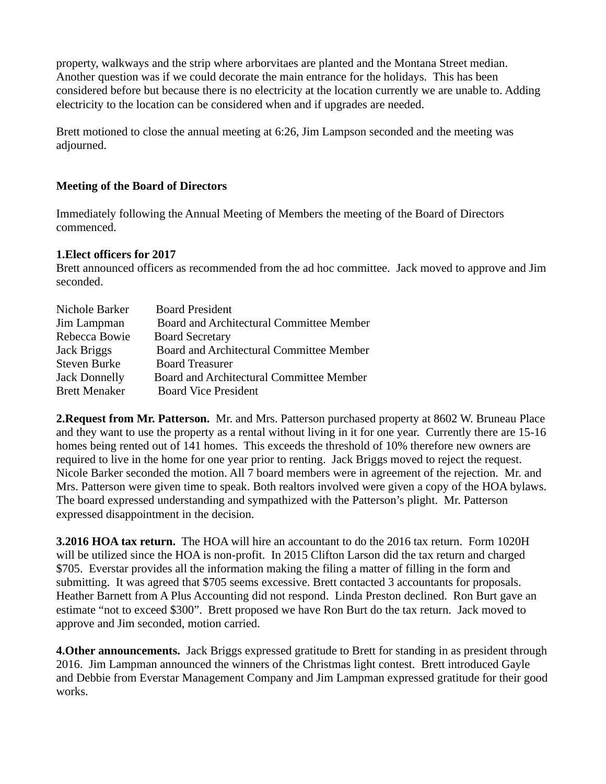property, walkways and the strip where arborvitaes are planted and the Montana Street median. Another question was if we could decorate the main entrance for the holidays. This has been considered before but because there is no electricity at the location currently we are unable to. Adding electricity to the location can be considered when and if upgrades are needed.

Brett motioned to close the annual meeting at 6:26, Jim Lampson seconded and the meeting was adjourned.

# **Meeting of the Board of Directors**

Immediately following the Annual Meeting of Members the meeting of the Board of Directors commenced.

### **1.Elect officers for 2017**

Brett announced officers as recommended from the ad hoc committee. Jack moved to approve and Jim seconded.

| <b>Board President</b>                   |
|------------------------------------------|
| Board and Architectural Committee Member |
| <b>Board Secretary</b>                   |
| Board and Architectural Committee Member |
| <b>Board Treasurer</b>                   |
| Board and Architectural Committee Member |
| <b>Board Vice President</b>              |
|                                          |

**2.Request from Mr. Patterson.** Mr. and Mrs. Patterson purchased property at 8602 W. Bruneau Place and they want to use the property as a rental without living in it for one year. Currently there are 15-16 homes being rented out of 141 homes. This exceeds the threshold of 10% therefore new owners are required to live in the home for one year prior to renting. Jack Briggs moved to reject the request. Nicole Barker seconded the motion. All 7 board members were in agreement of the rejection. Mr. and Mrs. Patterson were given time to speak. Both realtors involved were given a copy of the HOA bylaws. The board expressed understanding and sympathized with the Patterson's plight. Mr. Patterson expressed disappointment in the decision.

**3.2016 HOA tax return.** The HOA will hire an accountant to do the 2016 tax return. Form 1020H will be utilized since the HOA is non-profit. In 2015 Clifton Larson did the tax return and charged \$705. Everstar provides all the information making the filing a matter of filling in the form and submitting. It was agreed that \$705 seems excessive. Brett contacted 3 accountants for proposals. Heather Barnett from A Plus Accounting did not respond. Linda Preston declined. Ron Burt gave an estimate "not to exceed \$300". Brett proposed we have Ron Burt do the tax return. Jack moved to approve and Jim seconded, motion carried.

**4.Other announcements.** Jack Briggs expressed gratitude to Brett for standing in as president through 2016. Jim Lampman announced the winners of the Christmas light contest. Brett introduced Gayle and Debbie from Everstar Management Company and Jim Lampman expressed gratitude for their good works.